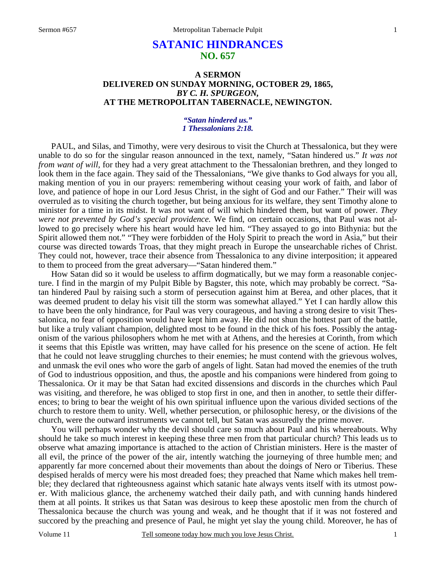# **SATANIC HINDRANCES NO. 657**

## **A SERMON DELIVERED ON SUNDAY MORNING, OCTOBER 29, 1865,**  *BY C. H. SPURGEON,*  **AT THE METROPOLITAN TABERNACLE, NEWINGTON.**

#### *"Satan hindered us." 1 Thessalonians 2:18.*

PAUL, and Silas, and Timothy, were very desirous to visit the Church at Thessalonica, but they were unable to do so for the singular reason announced in the text, namely, "Satan hindered us." *It was not from want of will*, for they had a very great attachment to the Thessalonian brethren, and they longed to look them in the face again. They said of the Thessalonians, "We give thanks to God always for you all, making mention of you in our prayers: remembering without ceasing your work of faith, and labor of love, and patience of hope in our Lord Jesus Christ, in the sight of God and our Father." Their will was overruled as to visiting the church together, but being anxious for its welfare, they sent Timothy alone to minister for a time in its midst. It was not want of will which hindered them, but want of power. *They were not prevented by God's special providence.* We find, on certain occasions, that Paul was not allowed to go precisely where his heart would have led him. "They assayed to go into Bithynia: but the Spirit allowed them not." "They were forbidden of the Holy Spirit to preach the word in Asia," but their course was directed towards Troas, that they might preach in Europe the unsearchable riches of Christ. They could not, however, trace their absence from Thessalonica to any divine interposition; it appeared to them to proceed from the great adversary—"Satan hindered them."

 How Satan did so it would be useless to affirm dogmatically, but we may form a reasonable conjecture. I find in the margin of my Pulpit Bible by Bagster, this note, which may probably be correct. "Satan hindered Paul by raising such a storm of persecution against him at Berea, and other places, that it was deemed prudent to delay his visit till the storm was somewhat allayed." Yet I can hardly allow this to have been the only hindrance, for Paul was very courageous, and having a strong desire to visit Thessalonica, no fear of opposition would have kept him away. He did not shun the hottest part of the battle, but like a truly valiant champion, delighted most to be found in the thick of his foes. Possibly the antagonism of the various philosophers whom he met with at Athens, and the heresies at Corinth, from which it seems that this Epistle was written, may have called for his presence on the scene of action. He felt that he could not leave struggling churches to their enemies; he must contend with the grievous wolves, and unmask the evil ones who wore the garb of angels of light. Satan had moved the enemies of the truth of God to industrious opposition, and thus, the apostle and his companions were hindered from going to Thessalonica. Or it may be that Satan had excited dissensions and discords in the churches which Paul was visiting, and therefore, he was obliged to stop first in one, and then in another, to settle their differences; to bring to bear the weight of his own spiritual influence upon the various divided sections of the church to restore them to unity. Well, whether persecution, or philosophic heresy, or the divisions of the church, were the outward instruments we cannot tell, but Satan was assuredly the prime mover.

 You will perhaps wonder why the devil should care so much about Paul and his whereabouts. Why should he take so much interest in keeping these three men from that particular church? This leads us to observe what amazing importance is attached to the action of Christian ministers. Here is the master of all evil, the prince of the power of the air, intently watching the journeying of three humble men; and apparently far more concerned about their movements than about the doings of Nero or Tiberius. These despised heralds of mercy were his most dreaded foes; they preached that Name which makes hell tremble; they declared that righteousness against which satanic hate always vents itself with its utmost power. With malicious glance, the archenemy watched their daily path, and with cunning hands hindered them at all points. It strikes us that Satan was desirous to keep these apostolic men from the church of Thessalonica because the church was young and weak, and he thought that if it was not fostered and succored by the preaching and presence of Paul, he might yet slay the young child. Moreover, he has of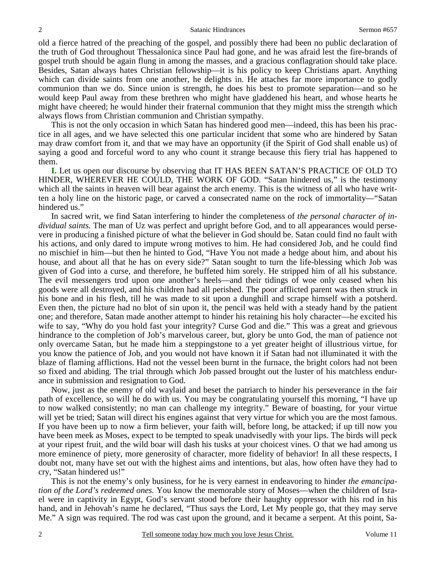old a fierce hatred of the preaching of the gospel, and possibly there had been no public declaration of the truth of God throughout Thessalonica since Paul had gone, and he was afraid lest the fire-brands of gospel truth should be again flung in among the masses, and a gracious conflagration should take place. Besides, Satan always hates Christian fellowship—it is his policy to keep Christians apart. Anything which can divide saints from one another, he delights in. He attaches far more importance to godly communion than we do. Since union is strength, he does his best to promote separation—and so he would keep Paul away from these brethren who might have gladdened his heart, and whose hearts he might have cheered; he would hinder their fraternal communion that they might miss the strength which always flows from Christian communion and Christian sympathy.

 This is not the only occasion in which Satan has hindered good men—indeed, this has been his practice in all ages, and we have selected this one particular incident that some who are hindered by Satan may draw comfort from it, and that we may have an opportunity (if the Spirit of God shall enable us) of saying a good and forceful word to any who count it strange because this fiery trial has happened to them.

**I.** Let us open our discourse by observing that IT HAS BEEN SATAN'S PRACTICE OF OLD TO HINDER, WHEREVER HE COULD, THE WORK OF GOD. "Satan hindered us," is the testimony which all the saints in heaven will bear against the arch enemy. This is the witness of all who have written a holy line on the historic page, or carved a consecrated name on the rock of immortality—"Satan hindered us."

 In sacred writ, we find Satan interfering to hinder the completeness of *the personal character of individual saints.* The man of Uz was perfect and upright before God, and to all appearances would persevere in producing a finished picture of what the believer in God should be. Satan could find no fault with his actions, and only dared to impute wrong motives to him. He had considered Job, and he could find no mischief in him—but then he hinted to God, "Have You not made a hedge about him, and about his house, and about all that he has on every side?" Satan sought to turn the life-blessing which Job was given of God into a curse, and therefore, he buffeted him sorely. He stripped him of all his substance. The evil messengers trod upon one another's heels—and their tidings of woe only ceased when his goods were all destroyed, and his children had all perished. The poor afflicted parent was then struck in his bone and in his flesh, till he was made to sit upon a dunghill and scrape himself with a potsherd. Even then, the picture had no blot of sin upon it, the pencil was held with a steady hand by the patient one; and therefore, Satan made another attempt to hinder his retaining his holy character—he excited his wife to say, "Why do you hold fast your integrity? Curse God and die." This was a great and grievous hindrance to the completion of Job's marvelous career, but, glory be unto God, the man of patience not only overcame Satan, but he made him a steppingstone to a yet greater height of illustrious virtue, for you know the patience of Job, and you would not have known it if Satan had not illuminated it with the blaze of flaming afflictions. Had not the vessel been burnt in the furnace, the bright colors had not been so fixed and abiding. The trial through which Job passed brought out the luster of his matchless endurance in submission and resignation to God.

 Now, just as the enemy of old waylaid and beset the patriarch to hinder his perseverance in the fair path of excellence, so will he do with us. You may be congratulating yourself this morning, "I have up to now walked consistently; no man can challenge my integrity." Beware of boasting, for your virtue will yet be tried; Satan will direct his engines against that very virtue for which you are the most famous. If you have been up to now a firm believer, your faith will, before long, be attacked; if up till now you have been meek as Moses, expect to be tempted to speak unadvisedly with your lips. The birds will peck at your ripest fruit, and the wild boar will dash his tusks at your choicest vines. O that we had among us more eminence of piety, more generosity of character, more fidelity of behavior! In all these respects, I doubt not, many have set out with the highest aims and intentions, but alas, how often have they had to cry, "Satan hindered us!"

 This is not the enemy's only business, for he is very earnest in endeavoring to hinder *the emancipation of the Lord's redeemed ones.* You know the memorable story of Moses—when the children of Israel were in captivity in Egypt, God's servant stood before their haughty oppressor with his rod in his hand, and in Jehovah's name he declared, "Thus says the Lord, Let My people go, that they may serve Me." A sign was required. The rod was cast upon the ground, and it became a serpent. At this point, Sa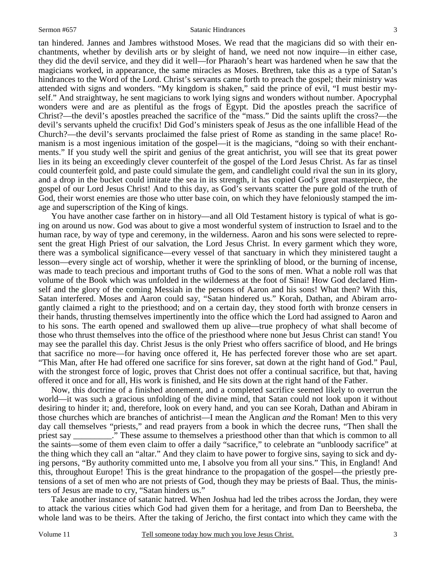tan hindered. Jannes and Jambres withstood Moses. We read that the magicians did so with their enchantments, whether by devilish arts or by sleight of hand, we need not now inquire—in either case, they did the devil service, and they did it well—for Pharaoh's heart was hardened when he saw that the magicians worked, in appearance, the same miracles as Moses. Brethren, take this as a type of Satan's hindrances to the Word of the Lord. Christ's servants came forth to preach the gospel; their ministry was attended with signs and wonders. "My kingdom is shaken," said the prince of evil, "I must bestir myself." And straightway, he sent magicians to work lying signs and wonders without number. Apocryphal wonders were and are as plentiful as the frogs of Egypt. Did the apostles preach the sacrifice of Christ?—the devil's apostles preached the sacrifice of the "mass." Did the saints uplift the cross?—the devil's servants upheld the crucifix! Did God's ministers speak of Jesus as the one infallible Head of the Church?—the devil's servants proclaimed the false priest of Rome as standing in the same place! Romanism is a most ingenious imitation of the gospel—it is the magicians, "doing so with their enchantments." If you study well the spirit and genius of the great antichrist, you will see that its great power lies in its being an exceedingly clever counterfeit of the gospel of the Lord Jesus Christ. As far as tinsel could counterfeit gold, and paste could simulate the gem, and candlelight could rival the sun in its glory, and a drop in the bucket could imitate the sea in its strength, it has copied God's great masterpiece, the gospel of our Lord Jesus Christ! And to this day, as God's servants scatter the pure gold of the truth of God, their worst enemies are those who utter base coin, on which they have feloniously stamped the image and superscription of the King of kings.

 You have another case farther on in history—and all Old Testament history is typical of what is going on around us now. God was about to give a most wonderful system of instruction to Israel and to the human race, by way of type and ceremony, in the wilderness. Aaron and his sons were selected to represent the great High Priest of our salvation, the Lord Jesus Christ. In every garment which they wore, there was a symbolical significance—every vessel of that sanctuary in which they ministered taught a lesson—every single act of worship, whether it were the sprinkling of blood, or the burning of incense, was made to teach precious and important truths of God to the sons of men. What a noble roll was that volume of the Book which was unfolded in the wilderness at the foot of Sinai! How God declared Himself and the glory of the coming Messiah in the persons of Aaron and his sons! What then? With this, Satan interfered. Moses and Aaron could say, "Satan hindered us." Korah, Dathan, and Abiram arrogantly claimed a right to the priesthood; and on a certain day, they stood forth with bronze censers in their hands, thrusting themselves impertinently into the office which the Lord had assigned to Aaron and to his sons. The earth opened and swallowed them up alive—true prophecy of what shall become of those who thrust themselves into the office of the priesthood where none but Jesus Christ can stand! You may see the parallel this day. Christ Jesus is the only Priest who offers sacrifice of blood, and He brings that sacrifice no more—for having once offered it, He has perfected forever those who are set apart. "This Man, after He had offered one sacrifice for sins forever, sat down at the right hand of God." Paul, with the strongest force of logic, proves that Christ does not offer a continual sacrifice, but that, having offered it once and for all, His work is finished, and He sits down at the right hand of the Father.

 Now, this doctrine of a finished atonement, and a completed sacrifice seemed likely to overrun the world—it was such a gracious unfolding of the divine mind, that Satan could not look upon it without desiring to hinder it; and, therefore, look on every hand, and you can see Korah, Dathan and Abiram in those churches which are branches of antichrist—I mean the Anglican *and* the Roman! Men to this very day call themselves "priests," and read prayers from a book in which the decree runs, "Then shall the priest say \_\_\_\_\_\_\_\_\_." These assume to themselves a priesthood other than that which is common to all the saints—some of them even claim to offer a daily "sacrifice," to celebrate an "unbloody sacrifice" at the thing which they call an "altar." And they claim to have power to forgive sins, saying to sick and dying persons, "By authority committed unto me, I absolve you from all your sins." This, in England! And this, throughout Europe! This is the great hindrance to the propagation of the gospel—the priestly pretensions of a set of men who are not priests of God, though they may be priests of Baal. Thus, the ministers of Jesus are made to cry, "Satan hinders us."

 Take another instance of satanic hatred. When Joshua had led the tribes across the Jordan, they were to attack the various cities which God had given them for a heritage, and from Dan to Beersheba, the whole land was to be theirs. After the taking of Jericho, the first contact into which they came with the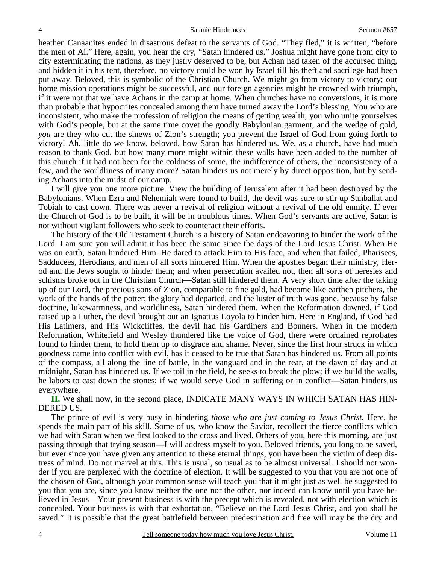heathen Canaanites ended in disastrous defeat to the servants of God. "They fled," it is written, "before the men of Ai." Here, again, you hear the cry, "Satan hindered us." Joshua might have gone from city to city exterminating the nations, as they justly deserved to be, but Achan had taken of the accursed thing, and hidden it in his tent, therefore, no victory could be won by Israel till his theft and sacrilege had been put away. Beloved, this is symbolic of the Christian Church. We might go from victory to victory; our home mission operations might be successful, and our foreign agencies might be crowned with triumph, if it were not that we have Achans in the camp at home. When churches have no conversions, it is more than probable that hypocrites concealed among them have turned away the Lord's blessing. You who are inconsistent, who make the profession of religion the means of getting wealth; you who unite yourselves with God's people, but at the same time covet the goodly Babylonian garment, and the wedge of gold, *you* are they who cut the sinews of Zion's strength; you prevent the Israel of God from going forth to victory! Ah, little do we know, beloved, how Satan has hindered us. We, as a church, have had much reason to thank God, but how many more might within these walls have been added to the number of this church if it had not been for the coldness of some, the indifference of others, the inconsistency of a few, and the worldliness of many more? Satan hinders us not merely by direct opposition, but by sending Achans into the midst of our camp.

 I will give you one more picture. View the building of Jerusalem after it had been destroyed by the Babylonians. When Ezra and Nehemiah were found to build, the devil was sure to stir up Sanballat and Tobiah to cast down. There was never a revival of religion without a revival of the old enmity. If ever the Church of God is to be built, it will be in troublous times. When God's servants are active, Satan is not without vigilant followers who seek to counteract their efforts.

 The history of the Old Testament Church is a history of Satan endeavoring to hinder the work of the Lord. I am sure you will admit it has been the same since the days of the Lord Jesus Christ. When He was on earth, Satan hindered Him. He dared to attack Him to His face, and when that failed, Pharisees, Sadducees, Herodians, and men of all sorts hindered Him. When the apostles began their ministry, Herod and the Jews sought to hinder them; and when persecution availed not, then all sorts of heresies and schisms broke out in the Christian Church—Satan still hindered them. A very short time after the taking up of our Lord, the precious sons of Zion, comparable to fine gold, had become like earthen pitchers, the work of the hands of the potter; the glory had departed, and the luster of truth was gone, because by false doctrine, lukewarmness, and worldliness, Satan hindered them. When the Reformation dawned, if God raised up a Luther, the devil brought out an Ignatius Loyola to hinder him. Here in England, if God had His Latimers, and His Wickcliffes, the devil had his Gardiners and Bonners. When in the modern Reformation, Whitefield and Wesley thundered like the voice of God, there were ordained reprobates found to hinder them, to hold them up to disgrace and shame. Never, since the first hour struck in which goodness came into conflict with evil, has it ceased to be true that Satan has hindered us. From all points of the compass, all along the line of battle, in the vanguard and in the rear, at the dawn of day and at midnight, Satan has hindered us. If we toil in the field, he seeks to break the plow; if we build the walls, he labors to cast down the stones; if we would serve God in suffering or in conflict—Satan hinders us everywhere.

**II.** We shall now, in the second place, INDICATE MANY WAYS IN WHICH SATAN HAS HIN-DERED US.

 The prince of evil is very busy in hindering *those who are just coming to Jesus Christ.* Here, he spends the main part of his skill. Some of us, who know the Savior, recollect the fierce conflicts which we had with Satan when we first looked to the cross and lived. Others of you, here this morning, are just passing through that trying season—I will address myself to you. Beloved friends, you long to be saved, but ever since you have given any attention to these eternal things, you have been the victim of deep distress of mind. Do not marvel at this. This is usual, so usual as to be almost universal. I should not wonder if you are perplexed with the doctrine of election. It will be suggested to you that you are not one of the chosen of God, although your common sense will teach you that it might just as well be suggested to you that you are, since you know neither the one nor the other, nor indeed can know until you have believed in Jesus—Your present business is with the precept which is revealed, not with election which is concealed. Your business is with that exhortation, "Believe on the Lord Jesus Christ, and you shall be saved." It is possible that the great battlefield between predestination and free will may be the dry and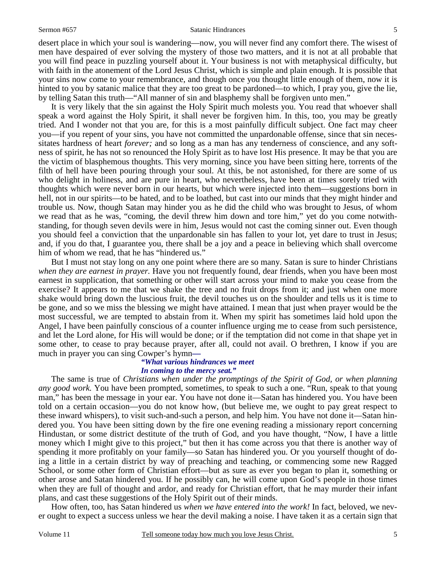#### Sermon #657 Satanic Hindrances

desert place in which your soul is wandering—now, you will never find any comfort there. The wisest of men have despaired of ever solving the mystery of those two matters, and it is not at all probable that you will find peace in puzzling yourself about it. Your business is not with metaphysical difficulty, but with faith in the atonement of the Lord Jesus Christ, which is simple and plain enough. It is possible that your sins now come to your remembrance, and though once you thought little enough of them, now it is hinted to you by satanic malice that they are too great to be pardoned—to which, I pray you, give the lie, by telling Satan this truth—"All manner of sin and blasphemy shall be forgiven unto men."

 It is very likely that the sin against the Holy Spirit much molests you. You read that whoever shall speak a word against the Holy Spirit, it shall never be forgiven him. In this, too, you may be greatly tried. And I wonder not that you are, for this is a most painfully difficult subject. One fact may cheer you—if you repent of your sins, you have not committed the unpardonable offense, since that sin necessitates hardness of heart *forever;* and so long as a man has any tenderness of conscience, and any softness of spirit, he has not so renounced the Holy Spirit as to have lost His presence. It may be that you are the victim of blasphemous thoughts. This very morning, since you have been sitting here, torrents of the filth of hell have been pouring through your soul. At this, be not astonished, for there are some of us who delight in holiness, and are pure in heart, who nevertheless, have been at times sorely tried with thoughts which were never born in our hearts, but which were injected into them—suggestions born in hell, not in our spirits—to be hated, and to be loathed, but cast into our minds that they might hinder and trouble us. Now, though Satan may hinder you as he did the child who was brought to Jesus, of whom we read that as he was, "coming, the devil threw him down and tore him," yet do you come notwithstanding, for though seven devils were in him, Jesus would not cast the coming sinner out. Even though you should feel a conviction that the unpardonable sin has fallen to your lot, yet dare to trust in Jesus; and, if you do that, I guarantee you, there shall be a joy and a peace in believing which shall overcome him of whom we read, that he has "hindered us."

 But I must not stay long on any one point where there are so many. Satan is sure to hinder Christians *when they are earnest in prayer.* Have you not frequently found, dear friends, when you have been most earnest in supplication, that something or other will start across your mind to make you cease from the exercise? It appears to me that we shake the tree and no fruit drops from it; and just when one more shake would bring down the luscious fruit, the devil touches us on the shoulder and tells us it is time to be gone, and so we miss the blessing we might have attained. I mean that just when prayer would be the most successful, we are tempted to abstain from it. When my spirit has sometimes laid hold upon the Angel, I have been painfully conscious of a counter influence urging me to cease from such persistence, and let the Lord alone, for His will would be done; or if the temptation did not come in that shape yet in some other, to cease to pray because prayer, after all, could not avail. O brethren, I know if you are much in prayer you can sing Cowper's hymn*—* 

#### *"What various hindrances we meet In coming to the mercy seat."*

 The same is true of *Christians when under the promptings of the Spirit of God, or when planning any good work.* You have been prompted, sometimes, to speak to such a one. "Run, speak to that young man," has been the message in your ear. You have not done it—Satan has hindered you. You have been told on a certain occasion—you do not know how, (but believe me, we ought to pay great respect to these inward whispers), to visit such-and-such a person, and help him. You have not done it—Satan hindered you. You have been sitting down by the fire one evening reading a missionary report concerning Hindustan, or some district destitute of the truth of God, and you have thought, "Now, I have a little money which I might give to this project," but then it has come across you that there is another way of spending it more profitably on your family—so Satan has hindered you. Or you yourself thought of doing a little in a certain district by way of preaching and teaching, or commencing some new Ragged School, or some other form of Christian effort—but as sure as ever you began to plan it, something or other arose and Satan hindered you. If he possibly can, he will come upon God's people in those times when they are full of thought and ardor, and ready for Christian effort, that he may murder their infant plans, and cast these suggestions of the Holy Spirit out of their minds.

 How often, too, has Satan hindered us *when we have entered into the work!* In fact, beloved, we never ought to expect a success unless we hear the devil making a noise. I have taken it as a certain sign that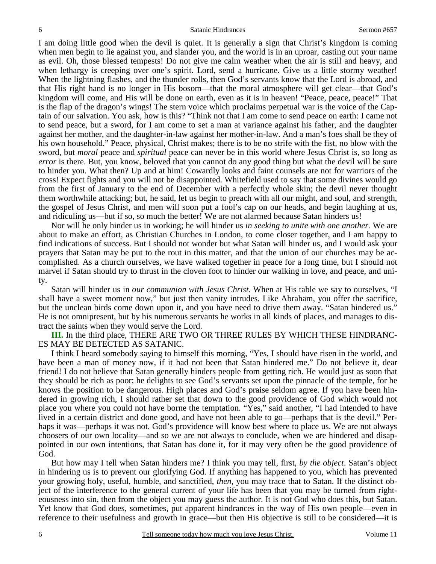I am doing little good when the devil is quiet. It is generally a sign that Christ's kingdom is coming when men begin to lie against you, and slander you, and the world is in an uproar, casting out your name as evil. Oh, those blessed tempests! Do not give me calm weather when the air is still and heavy, and when lethargy is creeping over one's spirit. Lord, send a hurricane. Give us a little stormy weather! When the lightning flashes, and the thunder rolls, then God's servants know that the Lord is abroad, and that His right hand is no longer in His bosom—that the moral atmosphere will get clear—that God's kingdom will come, and His will be done on earth, even as it is in heaven! "Peace, peace, peace!" That is the flap of the dragon's wings! The stern voice which proclaims perpetual war is the voice of the Captain of our salvation. You ask, how is this? "Think not that I am come to send peace on earth: I came not to send peace, but a sword, for I am come to set a man at variance against his father, and the daughter against her mother, and the daughter-in-law against her mother-in-law. And a man's foes shall be they of his own household." Peace, physical, Christ makes; there is to be no strife with the fist, no blow with the sword, but *moral* peace and *spiritual* peace can never be in this world where Jesus Christ is, so long as *error* is there. But, you know, beloved that you cannot do any good thing but what the devil will be sure to hinder you. What then? Up and at him! Cowardly looks and faint counsels are not for warriors of the cross! Expect fights and you will not be disappointed. Whitefield used to say that some divines would go from the first of January to the end of December with a perfectly whole skin; the devil never thought them worthwhile attacking; but, he said, let us begin to preach with all our might, and soul, and strength, the gospel of Jesus Christ, and men will soon put a fool's cap on our heads, and begin laughing at us, and ridiculing us—but if so, so much the better! We are not alarmed because Satan hinders us!

 Nor will he only hinder us in working; he will hinder us *in seeking to unite with one another.* We are about to make an effort, as Christian Churches in London, to come closer together, and I am happy to find indications of success. But I should not wonder but what Satan will hinder us, and I would ask your prayers that Satan may be put to the rout in this matter, and that the union of our churches may be accomplished. As a church ourselves, we have walked together in peace for a long time, but I should not marvel if Satan should try to thrust in the cloven foot to hinder our walking in love, and peace, and unity.

 Satan will hinder us in *our communion with Jesus Christ.* When at His table we say to ourselves, "I shall have a sweet moment now," but just then vanity intrudes. Like Abraham, you offer the sacrifice, but the unclean birds come down upon it, and you have need to drive them away. "Satan hindered us." He is not omnipresent, but by his numerous servants he works in all kinds of places, and manages to distract the saints when they would serve the Lord.

**III.** In the third place, THERE ARE TWO OR THREE RULES BY WHICH THESE HINDRANC-ES MAY BE DETECTED AS SATANIC.

 I think I heard somebody saying to himself this morning, "Yes, I should have risen in the world, and have been a man of money now, if it had not been that Satan hindered me." Do not believe it, dear friend! I do not believe that Satan generally hinders people from getting rich. He would just as soon that they should be rich as poor; he delights to see God's servants set upon the pinnacle of the temple, for he knows the position to be dangerous. High places and God's praise seldom agree. If you have been hindered in growing rich, I should rather set that down to the good providence of God which would not place you where you could not have borne the temptation. "Yes," said another, "I had intended to have lived in a certain district and done good, and have not been able to go—perhaps that is the devil." Perhaps it was—perhaps it was not. God's providence will know best where to place us. We are not always choosers of our own locality—and so we are not always to conclude, when we are hindered and disappointed in our own intentions, that Satan has done it, for it may very often be the good providence of God.

 But how may I tell when Satan hinders me? I think you may tell, first, *by the object*. Satan's object in hindering us is to prevent our glorifying God. If anything has happened to you, which has prevented your growing holy, useful, humble, and sanctified, *then,* you may trace that to Satan. If the distinct object of the interference to the general current of your life has been that you may be turned from righteousness into sin, then from the object you may guess the author. It is not God who does this, but Satan. Yet know that God does, sometimes, put apparent hindrances in the way of His own people—even in reference to their usefulness and growth in grace—but then His objective is still to be considered—it is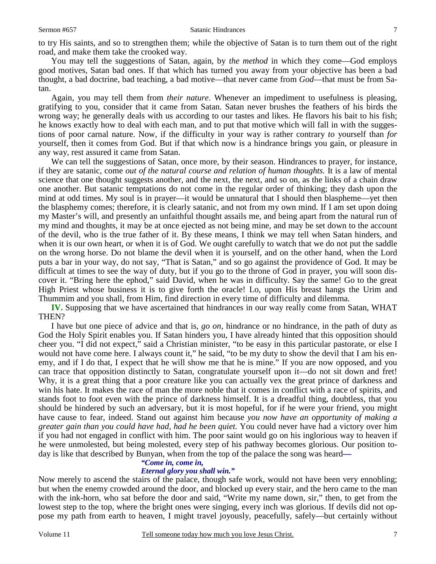to try His saints, and so to strengthen them; while the objective of Satan is to turn them out of the right road, and make them take the crooked way.

 You may tell the suggestions of Satan, again, by *the method* in which they come—God employs good motives, Satan bad ones. If that which has turned you away from your objective has been a bad thought, a bad doctrine, bad teaching, a bad motive—that never came from *God*—that must be from Satan.

 Again, you may tell them from *their nature*. Whenever an impediment to usefulness is pleasing, gratifying to you, consider that it came from Satan. Satan never brushes the feathers of his birds the wrong way; he generally deals with us according to our tastes and likes. He flavors his bait to his fish; he knows exactly how to deal with each man, and to put that motive which will fall in with the suggestions of poor carnal nature. Now, if the difficulty in your way is rather contrary *to* yourself than *for* yourself, then it comes from God. But if that which now is a hindrance brings you gain, or pleasure in any way, rest assured it came from Satan.

 We can tell the suggestions of Satan, once more, by their season. Hindrances to prayer, for instance, if they are satanic, come *out of the natural course and relation of human thoughts.* It is a law of mental science that one thought suggests another, and the next, the next, and so on, as the links of a chain draw one another. But satanic temptations do not come in the regular order of thinking; they dash upon the mind at odd times. My soul is in prayer—it would be unnatural that I should then blaspheme—yet then the blasphemy comes; therefore, it is clearly satanic, and not from my own mind. If I am set upon doing my Master's will, and presently an unfaithful thought assails me, and being apart from the natural run of my mind and thoughts, it may be at once ejected as not being mine, and may be set down to the account of the devil, who is the true father of it. By these means, I think we may tell when Satan hinders, and when it is our own heart, or when it is of God. We ought carefully to watch that we do not put the saddle on the wrong horse. Do not blame the devil when it is yourself, and on the other hand, when the Lord puts a bar in your way, do not say, "That is Satan," and so go against the providence of God. It may be difficult at times to see the way of duty, but if you go to the throne of God in prayer, you will soon discover it. "Bring here the ephod," said David, when he was in difficulty. Say the same! Go to the great High Priest whose business it is to give forth the oracle! Lo, upon His breast hangs the Urim and Thummim and you shall, from Him, find direction in every time of difficulty and dilemma.

**IV.** Supposing that we have ascertained that hindrances in our way really come from Satan, WHAT THEN?

 I have but one piece of advice and that is, *go on,* hindrance or no hindrance, in the path of duty as God the Holy Spirit enables you. If Satan hinders you, I have already hinted that this opposition should cheer you. "I did not expect," said a Christian minister, "to be easy in this particular pastorate, or else I would not have come here. I always count it," he said, "to be my duty to show the devil that I am his enemy, and if I do that, I expect that he will show me that he is mine." If you are now opposed, and you can trace that opposition distinctly to Satan, congratulate yourself upon it—do not sit down and fret! Why, it is a great thing that a poor creature like you can actually vex the great prince of darkness and win his hate. It makes the race of man the more noble that it comes in conflict with a race of spirits, and stands foot to foot even with the prince of darkness himself. It is a dreadful thing, doubtless, that you should be hindered by such an adversary, but it is most hopeful, for if he were your friend, you might have cause to fear, indeed. Stand out against him because *you now have an opportunity of making a greater gain than you could have had, had he been quiet.* You could never have had a victory over him if you had not engaged in conflict with him. The poor saint would go on his inglorious way to heaven if he were unmolested, but being molested, every step of his pathway becomes glorious. Our position today is like that described by Bunyan, when from the top of the palace the song was heard*—* 

#### *"Come in, come in, Eternal glory you shall win."*

Now merely to ascend the stairs of the palace, though safe work, would not have been very ennobling; but when the enemy crowded around the door, and blocked up every stair, and the hero came to the man with the ink-horn, who sat before the door and said, "Write my name down, sir," then, to get from the lowest step to the top, where the bright ones were singing, every inch was glorious. If devils did not oppose my path from earth to heaven, I might travel joyously, peacefully, safely—but certainly without